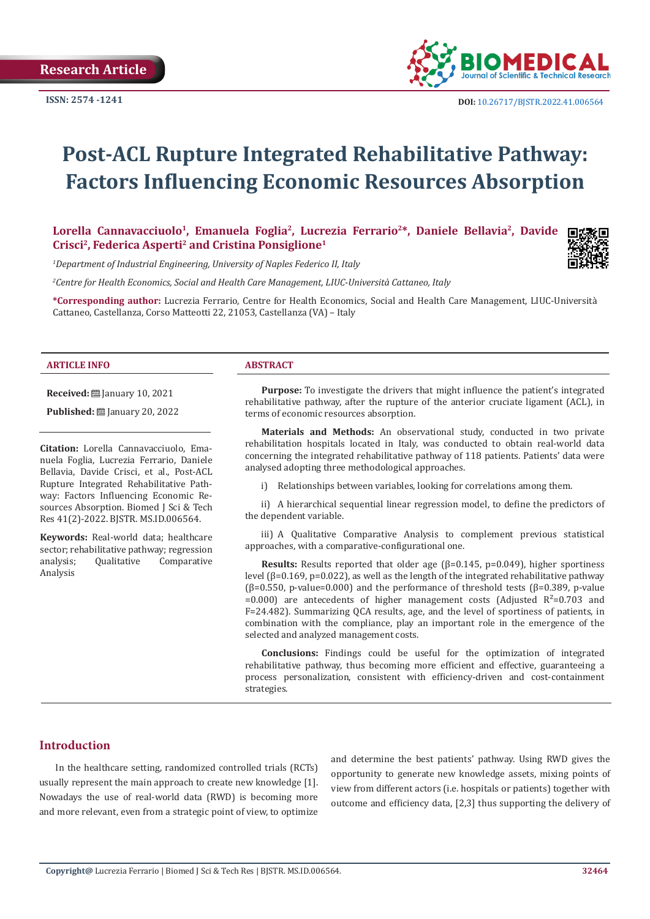

# **Post-ACL Rupture Integrated Rehabilitative Pathway: Factors Influencing Economic Resources Absorption**

Lorella Cannavacciuolo<sup>1</sup>, Emanuela Foglia<sup>2</sup>, Lucrezia Ferrario<sup>2\*</sup>, Daniele Bellavia<sup>2</sup>, Davide **Crisci2, Federica Asperti2 and Cristina Ponsiglione1**

*1 Department of Industrial Engineering, University of Naples Federico II, Italy*

*2 Centre for Health Economics, Social and Health Care Management, LIUC-Università Cattaneo, Italy*

**\*Corresponding author:** Lucrezia Ferrario, Centre for Health Economics, Social and Health Care Management, LIUC-Università Cattaneo, Castellanza, Corso Matteotti 22, 21053, Castellanza (VA) – Italy

### **ARTICLE INFO ABSTRACT**

**Received:** [201] January 10, 2021

**Published:** ■ January 20, 2022

**Citation:** Lorella Cannavacciuolo, Emanuela Foglia, Lucrezia Ferrario, Daniele Bellavia, Davide Crisci, et al., Post-ACL Rupture Integrated Rehabilitative Pathway: Factors Influencing Economic Resources Absorption. Biomed J Sci & Tech Res 41(2)-2022. BJSTR. MS.ID.006564.

**Keywords:** Real-world data; healthcare sector; rehabilitative pathway; regression<br>analysis; Qualitative Comparative **Comparative** Analysis

**Purpose:** To investigate the drivers that might influence the patient's integrated rehabilitative pathway, after the rupture of the anterior cruciate ligament (ACL), in terms of economic resources absorption.

**Materials and Methods:** An observational study, conducted in two private rehabilitation hospitals located in Italy, was conducted to obtain real-world data concerning the integrated rehabilitative pathway of 118 patients. Patients' data were analysed adopting three methodological approaches.

i) Relationships between variables, looking for correlations among them.

ii) A hierarchical sequential linear regression model, to define the predictors of the dependent variable.

iii) A Qualitative Comparative Analysis to complement previous statistical approaches, with a comparative-configurational one.

**Results:** Results reported that older age (β=0.145, p=0.049), higher sportiness level (β=0.169, p=0.022), as well as the length of the integrated rehabilitative pathway ( $\beta$ =0.550, p-value=0.000) and the performance of threshold tests ( $\beta$ =0.389, p-value  $=0.000$  are antecedents of higher management costs (Adjusted R<sup>2</sup> $=0.703$  and F=24.482). Summarizing QCA results, age, and the level of sportiness of patients, in combination with the compliance, play an important role in the emergence of the selected and analyzed management costs.

**Conclusions:** Findings could be useful for the optimization of integrated rehabilitative pathway, thus becoming more efficient and effective, guaranteeing a process personalization, consistent with efficiency-driven and cost-containment strategies.

# **Introduction**

In the healthcare setting, randomized controlled trials (RCTs) usually represent the main approach to create new knowledge [1]. Nowadays the use of real-world data (RWD) is becoming more and more relevant, even from a strategic point of view, to optimize

and determine the best patients' pathway. Using RWD gives the opportunity to generate new knowledge assets, mixing points of view from different actors (i.e. hospitals or patients) together with outcome and efficiency data, [2,3] thus supporting the delivery of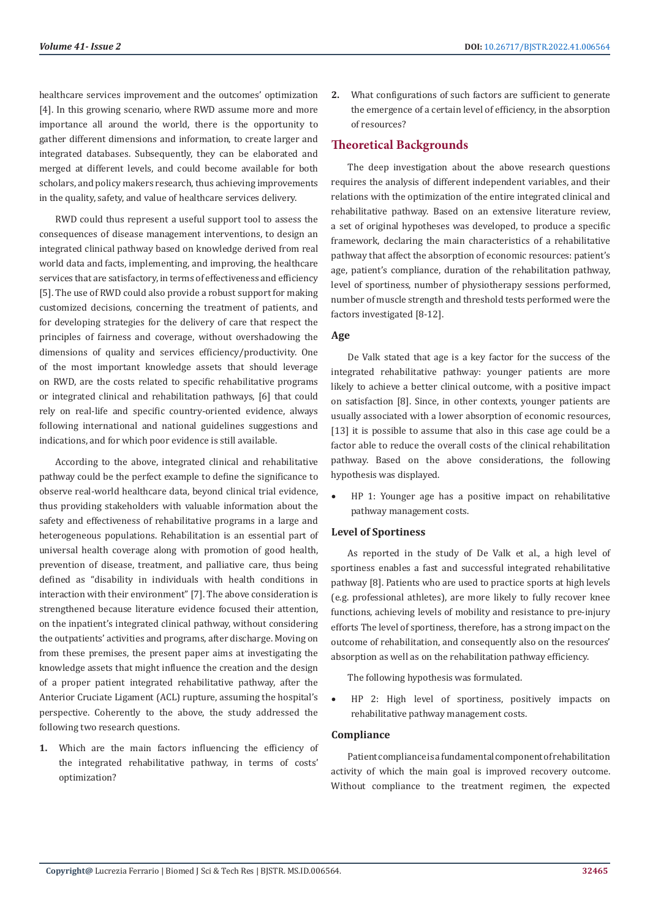healthcare services improvement and the outcomes' optimization [4]. In this growing scenario, where RWD assume more and more importance all around the world, there is the opportunity to gather different dimensions and information, to create larger and integrated databases. Subsequently, they can be elaborated and merged at different levels, and could become available for both scholars, and policy makers research, thus achieving improvements in the quality, safety, and value of healthcare services delivery.

RWD could thus represent a useful support tool to assess the consequences of disease management interventions, to design an integrated clinical pathway based on knowledge derived from real world data and facts, implementing, and improving, the healthcare services that are satisfactory, in terms of effectiveness and efficiency [5]. The use of RWD could also provide a robust support for making customized decisions, concerning the treatment of patients, and for developing strategies for the delivery of care that respect the principles of fairness and coverage, without overshadowing the dimensions of quality and services efficiency/productivity. One of the most important knowledge assets that should leverage on RWD, are the costs related to specific rehabilitative programs or integrated clinical and rehabilitation pathways, [6] that could rely on real-life and specific country-oriented evidence, always following international and national guidelines suggestions and indications, and for which poor evidence is still available.

According to the above, integrated clinical and rehabilitative pathway could be the perfect example to define the significance to observe real-world healthcare data, beyond clinical trial evidence, thus providing stakeholders with valuable information about the safety and effectiveness of rehabilitative programs in a large and heterogeneous populations. Rehabilitation is an essential part of universal health coverage along with promotion of good health, prevention of disease, treatment, and palliative care, thus being defined as "disability in individuals with health conditions in interaction with their environment" [7]. The above consideration is strengthened because literature evidence focused their attention, on the inpatient's integrated clinical pathway, without considering the outpatients' activities and programs, after discharge. Moving on from these premises, the present paper aims at investigating the knowledge assets that might influence the creation and the design of a proper patient integrated rehabilitative pathway, after the Anterior Cruciate Ligament (ACL) rupture, assuming the hospital's perspective. Coherently to the above, the study addressed the following two research questions.

**1.** Which are the main factors influencing the efficiency of the integrated rehabilitative pathway, in terms of costs' optimization?

**2.** What configurations of such factors are sufficient to generate the emergence of a certain level of efficiency, in the absorption of resources?

# **Theoretical Backgrounds**

The deep investigation about the above research questions requires the analysis of different independent variables, and their relations with the optimization of the entire integrated clinical and rehabilitative pathway. Based on an extensive literature review, a set of original hypotheses was developed, to produce a specific framework, declaring the main characteristics of a rehabilitative pathway that affect the absorption of economic resources: patient's age, patient's compliance, duration of the rehabilitation pathway, level of sportiness, number of physiotherapy sessions performed, number of muscle strength and threshold tests performed were the factors investigated [8-12].

#### **Age**

De Valk stated that age is a key factor for the success of the integrated rehabilitative pathway: younger patients are more likely to achieve a better clinical outcome, with a positive impact on satisfaction [8]. Since, in other contexts, younger patients are usually associated with a lower absorption of economic resources, [13] it is possible to assume that also in this case age could be a factor able to reduce the overall costs of the clinical rehabilitation pathway. Based on the above considerations, the following hypothesis was displayed.

HP 1: Younger age has a positive impact on rehabilitative pathway management costs.

#### **Level of Sportiness**

As reported in the study of De Valk et al., a high level of sportiness enables a fast and successful integrated rehabilitative pathway [8]. Patients who are used to practice sports at high levels (e.g. professional athletes), are more likely to fully recover knee functions, achieving levels of mobility and resistance to pre-injury efforts The level of sportiness, therefore, has a strong impact on the outcome of rehabilitation, and consequently also on the resources' absorption as well as on the rehabilitation pathway efficiency.

The following hypothesis was formulated.

HP 2: High level of sportiness, positively impacts on rehabilitative pathway management costs.

#### **Compliance**

Patient compliance is a fundamental component of rehabilitation activity of which the main goal is improved recovery outcome. Without compliance to the treatment regimen, the expected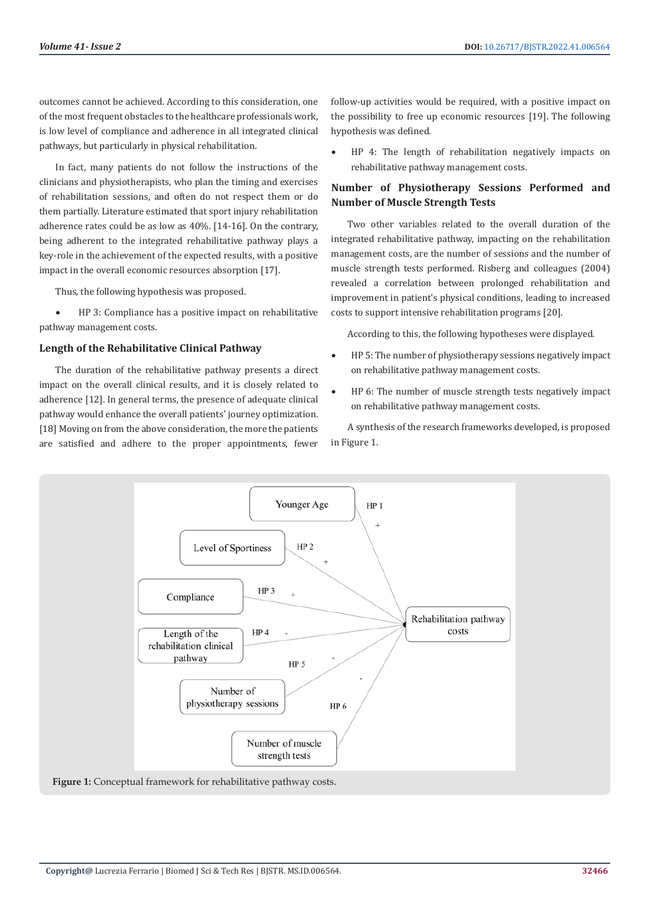outcomes cannot be achieved. According to this consideration, one of the most frequent obstacles to the healthcare professionals work, is low level of compliance and adherence in all integrated clinical pathways, but particularly in physical rehabilitation.

In fact, many patients do not follow the instructions of the clinicians and physiotherapists, who plan the timing and exercises of rehabilitation sessions, and often do not respect them or do them partially. Literature estimated that sport injury rehabilitation adherence rates could be as low as 40%. [14-16]. On the contrary, being adherent to the integrated rehabilitative pathway plays a key-role in the achievement of the expected results, with a positive impact in the overall economic resources absorption [17].

Thus, the following hypothesis was proposed.

HP 3: Compliance has a positive impact on rehabilitative pathway management costs.

#### **Length of the Rehabilitative Clinical Pathway**

The duration of the rehabilitative pathway presents a direct impact on the overall clinical results, and it is closely related to adherence [12]. In general terms, the presence of adequate clinical pathway would enhance the overall patients' journey optimization. [18] Moving on from the above consideration, the more the patients are satisfied and adhere to the proper appointments, fewer

follow-up activities would be required, with a positive impact on the possibility to free up economic resources [19]. The following hypothesis was defined.

• HP 4: The length of rehabilitation negatively impacts on rehabilitative pathway management costs.

# **Number of Physiotherapy Sessions Performed and Number of Muscle Strength Tests**

Two other variables related to the overall duration of the integrated rehabilitative pathway, impacting on the rehabilitation management costs, are the number of sessions and the number of muscle strength tests performed. Risberg and colleagues (2004) revealed a correlation between prolonged rehabilitation and improvement in patient's physical conditions, leading to increased costs to support intensive rehabilitation programs [20].

According to this, the following hypotheses were displayed.

- HP 5: The number of physiotherapy sessions negatively impact on rehabilitative pathway management costs.
- HP 6: The number of muscle strength tests negatively impact on rehabilitative pathway management costs.

A synthesis of the research frameworks developed, is proposed in Figure 1.



**Figure 1:** Conceptual framework for rehabilitative pathway costs.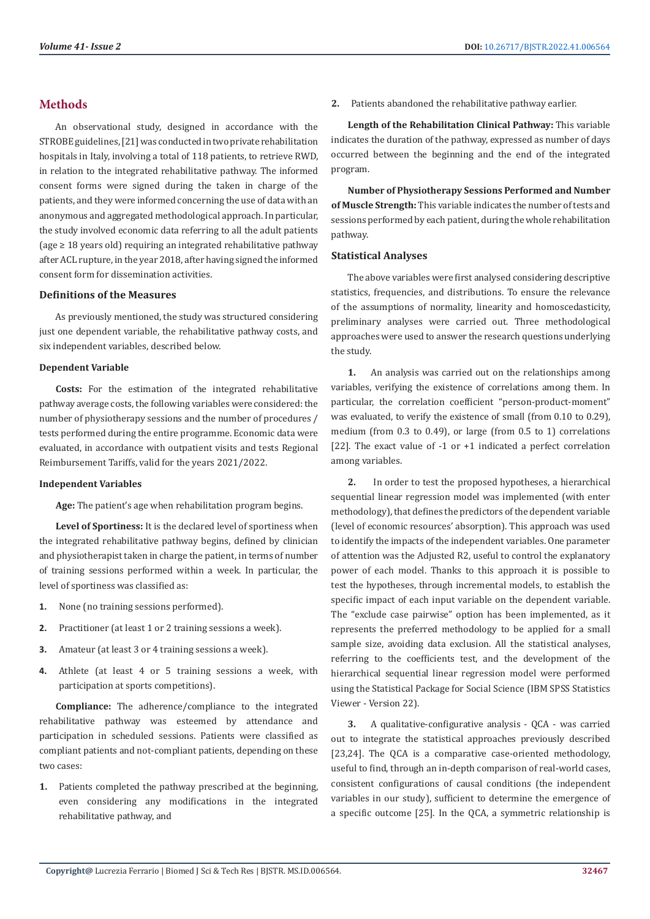# **Methods**

An observational study, designed in accordance with the STROBE guidelines, [21] was conducted in two private rehabilitation hospitals in Italy, involving a total of 118 patients, to retrieve RWD, in relation to the integrated rehabilitative pathway. The informed consent forms were signed during the taken in charge of the patients, and they were informed concerning the use of data with an anonymous and aggregated methodological approach. In particular, the study involved economic data referring to all the adult patients (age ≥ 18 years old) requiring an integrated rehabilitative pathway after ACL rupture, in the year 2018, after having signed the informed consent form for dissemination activities.

# **Definitions of the Measures**

As previously mentioned, the study was structured considering just one dependent variable, the rehabilitative pathway costs, and six independent variables, described below.

#### **Dependent Variable**

**Costs:** For the estimation of the integrated rehabilitative pathway average costs, the following variables were considered: the number of physiotherapy sessions and the number of procedures / tests performed during the entire programme. Economic data were evaluated, in accordance with outpatient visits and tests Regional Reimbursement Tariffs, valid for the years 2021/2022.

#### **Independent Variables**

**Age:** The patient's age when rehabilitation program begins.

**Level of Sportiness:** It is the declared level of sportiness when the integrated rehabilitative pathway begins, defined by clinician and physiotherapist taken in charge the patient, in terms of number of training sessions performed within a week. In particular, the level of sportiness was classified as:

- **1.** None (no training sessions performed).
- **2.** Practitioner (at least 1 or 2 training sessions a week).
- **3.** Amateur (at least 3 or 4 training sessions a week).
- **4.** Athlete (at least 4 or 5 training sessions a week, with participation at sports competitions).

**Compliance:** The adherence/compliance to the integrated rehabilitative pathway was esteemed by attendance and participation in scheduled sessions. Patients were classified as compliant patients and not-compliant patients, depending on these two cases:

**1.** Patients completed the pathway prescribed at the beginning, even considering any modifications in the integrated rehabilitative pathway, and

**2.** Patients abandoned the rehabilitative pathway earlier.

**Length of the Rehabilitation Clinical Pathway:** This variable indicates the duration of the pathway, expressed as number of days occurred between the beginning and the end of the integrated program.

**Number of Physiotherapy Sessions Performed and Number of Muscle Strength:** This variable indicates the number of tests and sessions performed by each patient, during the whole rehabilitation pathway.

#### **Statistical Analyses**

The above variables were first analysed considering descriptive statistics, frequencies, and distributions. To ensure the relevance of the assumptions of normality, linearity and homoscedasticity, preliminary analyses were carried out. Three methodological approaches were used to answer the research questions underlying the study.

**1.** An analysis was carried out on the relationships among variables, verifying the existence of correlations among them. In particular, the correlation coefficient "person-product-moment" was evaluated, to verify the existence of small (from 0.10 to 0.29), medium (from 0.3 to 0.49), or large (from 0.5 to 1) correlations [22]. The exact value of -1 or +1 indicated a perfect correlation among variables.

**2.** In order to test the proposed hypotheses, a hierarchical sequential linear regression model was implemented (with enter methodology), that defines the predictors of the dependent variable (level of economic resources' absorption). This approach was used to identify the impacts of the independent variables. One parameter of attention was the Adjusted R2, useful to control the explanatory power of each model. Thanks to this approach it is possible to test the hypotheses, through incremental models, to establish the specific impact of each input variable on the dependent variable. The "exclude case pairwise" option has been implemented, as it represents the preferred methodology to be applied for a small sample size, avoiding data exclusion. All the statistical analyses, referring to the coefficients test, and the development of the hierarchical sequential linear regression model were performed using the Statistical Package for Social Science (IBM SPSS Statistics Viewer - Version 22).

**3.** A qualitative-configurative analysis - QCA - was carried out to integrate the statistical approaches previously described [23,24]. The OCA is a comparative case-oriented methodology, useful to find, through an in-depth comparison of real-world cases, consistent configurations of causal conditions (the independent variables in our study), sufficient to determine the emergence of a specific outcome [25]. In the QCA, a symmetric relationship is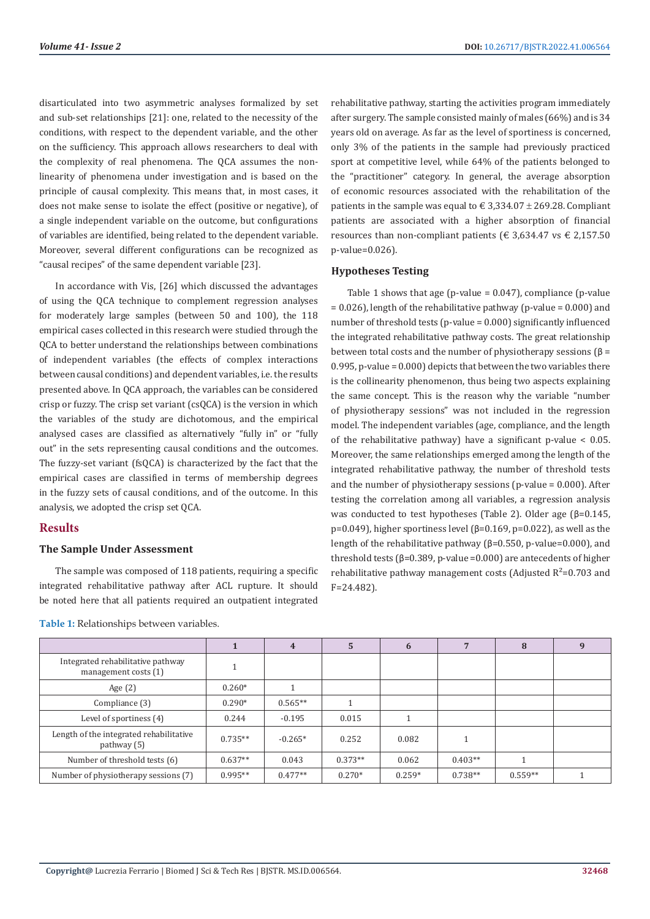disarticulated into two asymmetric analyses formalized by set and sub-set relationships [21]: one, related to the necessity of the conditions, with respect to the dependent variable, and the other on the sufficiency. This approach allows researchers to deal with the complexity of real phenomena. The QCA assumes the nonlinearity of phenomena under investigation and is based on the principle of causal complexity. This means that, in most cases, it does not make sense to isolate the effect (positive or negative), of a single independent variable on the outcome, but configurations of variables are identified, being related to the dependent variable. Moreover, several different configurations can be recognized as "causal recipes" of the same dependent variable [23].

In accordance with Vis, [26] which discussed the advantages of using the QCA technique to complement regression analyses for moderately large samples (between 50 and 100), the 118 empirical cases collected in this research were studied through the QCA to better understand the relationships between combinations of independent variables (the effects of complex interactions between causal conditions) and dependent variables, i.e. the results presented above. In QCA approach, the variables can be considered crisp or fuzzy. The crisp set variant (csQCA) is the version in which the variables of the study are dichotomous, and the empirical analysed cases are classified as alternatively "fully in" or "fully out" in the sets representing causal conditions and the outcomes. The fuzzy-set variant (fsQCA) is characterized by the fact that the empirical cases are classified in terms of membership degrees in the fuzzy sets of causal conditions, and of the outcome. In this analysis, we adopted the crisp set QCA.

# **Results**

# **The Sample Under Assessment**

The sample was composed of 118 patients, requiring a specific integrated rehabilitative pathway after ACL rupture. It should be noted here that all patients required an outpatient integrated

rehabilitative pathway, starting the activities program immediately after surgery. The sample consisted mainly of males (66%) and is 34 years old on average. As far as the level of sportiness is concerned, only 3% of the patients in the sample had previously practiced sport at competitive level, while 64% of the patients belonged to the "practitioner" category. In general, the average absorption of economic resources associated with the rehabilitation of the patients in the sample was equal to  $\in$  3,334.07  $\pm$  269.28. Compliant patients are associated with a higher absorption of financial resources than non-compliant patients ( $\epsilon$  3,634.47 vs  $\epsilon$  2,157.50 p-value=0.026).

# **Hypotheses Testing**

Table 1 shows that age (p-value =  $0.047$ ), compliance (p-value  $= 0.026$ ), length of the rehabilitative pathway (p-value = 0.000) and number of threshold tests (p-value = 0.000) significantly influenced the integrated rehabilitative pathway costs. The great relationship between total costs and the number of physiotherapy sessions ( $\beta$  = 0.995, p-value = 0.000) depicts that between the two variables there is the collinearity phenomenon, thus being two aspects explaining the same concept. This is the reason why the variable "number of physiotherapy sessions" was not included in the regression model. The independent variables (age, compliance, and the length of the rehabilitative pathway) have a significant p-value  $< 0.05$ . Moreover, the same relationships emerged among the length of the integrated rehabilitative pathway, the number of threshold tests and the number of physiotherapy sessions (p-value  $= 0.000$ ). After testing the correlation among all variables, a regression analysis was conducted to test hypotheses (Table 2). Older age (β=0.145, p=0.049), higher sportiness level (β=0.169, p=0.022), as well as the length of the rehabilitative pathway (β=0.550, p-value=0.000), and threshold tests (β=0.389, p-value =0.000) are antecedents of higher rehabilitative pathway management costs (Adjusted  $R^2$ =0.703 and F=24.482).

|                                                           |           | 4         | 5         | 6        |           | 8         |  |
|-----------------------------------------------------------|-----------|-----------|-----------|----------|-----------|-----------|--|
| Integrated rehabilitative pathway<br>management costs (1) |           |           |           |          |           |           |  |
| Age $(2)$                                                 | $0.260*$  |           |           |          |           |           |  |
| Compliance (3)                                            | $0.290*$  | $0.565**$ |           |          |           |           |  |
| Level of sportiness (4)                                   | 0.244     | $-0.195$  | 0.015     |          |           |           |  |
| Length of the integrated rehabilitative<br>pathway $(5)$  | $0.735**$ | $-0.265*$ | 0.252     | 0.082    |           |           |  |
| Number of threshold tests (6)                             | $0.637**$ | 0.043     | $0.373**$ | 0.062    | $0.403**$ |           |  |
| Number of physiotherapy sessions (7)                      | $0.995**$ | $0.477**$ | $0.270*$  | $0.259*$ | $0.738**$ | $0.559**$ |  |

**Table 1:** Relationships between variables.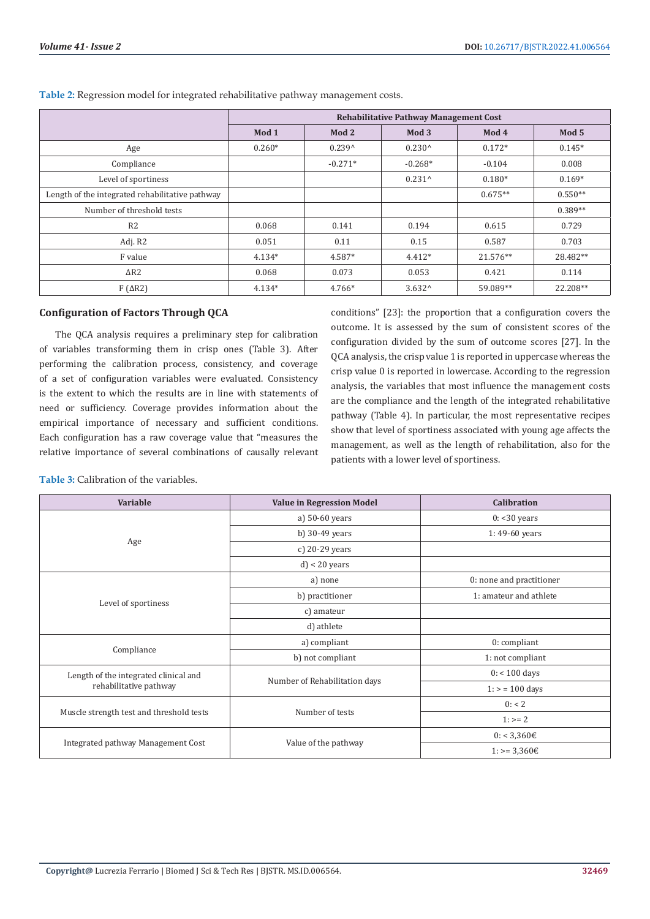|                                                 | <b>Rehabilitative Pathway Management Cost</b> |           |                  |           |           |  |
|-------------------------------------------------|-----------------------------------------------|-----------|------------------|-----------|-----------|--|
|                                                 | Mod 1                                         | Mod 2     | Mod <sub>3</sub> | Mod 4     | Mod 5     |  |
| Age                                             | $0.260*$                                      | $0.239^$  | $0.230^{\circ}$  | $0.172*$  | $0.145*$  |  |
| Compliance                                      |                                               | $-0.271*$ | $-0.268*$        | $-0.104$  | 0.008     |  |
| Level of sportiness                             |                                               |           | $0.231^{\wedge}$ | $0.180*$  | $0.169*$  |  |
| Length of the integrated rehabilitative pathway |                                               |           |                  | $0.675**$ | $0.550**$ |  |
| Number of threshold tests                       |                                               |           |                  |           | $0.389**$ |  |
| R <sub>2</sub>                                  | 0.068                                         | 0.141     | 0.194            | 0.615     | 0.729     |  |
| Adj. R2                                         | 0.051                                         | 0.11      | 0.15             | 0.587     | 0.703     |  |
| F value                                         | $4.134*$                                      | 4.587*    | $4.412*$         | 21.576**  | 28.482**  |  |
| $\Delta$ R2                                     | 0.068                                         | 0.073     | 0.053            | 0.421     | 0.114     |  |
| $F(\Delta R2)$                                  | $4.134*$                                      | 4.766*    | $3.632^{\circ}$  | 59.089**  | 22.208**  |  |

**Table 2:** Regression model for integrated rehabilitative pathway management costs.

# **Configuration of Factors Through QCA**

The QCA analysis requires a preliminary step for calibration of variables transforming them in crisp ones (Table 3). After performing the calibration process, consistency, and coverage of a set of configuration variables were evaluated. Consistency is the extent to which the results are in line with statements of need or sufficiency. Coverage provides information about the empirical importance of necessary and sufficient conditions. Each configuration has a raw coverage value that "measures the relative importance of several combinations of causally relevant conditions" [23]: the proportion that a configuration covers the outcome. It is assessed by the sum of consistent scores of the configuration divided by the sum of outcome scores [27]. In the QCA analysis, the crisp value 1 is reported in uppercase whereas the crisp value 0 is reported in lowercase. According to the regression analysis, the variables that most influence the management costs are the compliance and the length of the integrated rehabilitative pathway (Table 4). In particular, the most representative recipes show that level of sportiness associated with young age affects the management, as well as the length of rehabilitation, also for the patients with a lower level of sportiness.

**Table 3:** Calibration of the variables.

| Variable                                 | <b>Value in Regression Model</b> | <b>Calibration</b>       |  |
|------------------------------------------|----------------------------------|--------------------------|--|
|                                          | a) 50-60 years                   | $0: < 30$ years          |  |
| Age                                      | b) $30-49$ years                 | 1:49-60 years            |  |
|                                          | c) 20-29 years                   |                          |  |
|                                          | $d$ < 20 years                   |                          |  |
| Level of sportiness                      | a) none                          | 0: none and practitioner |  |
|                                          | b) practitioner                  | 1: amateur and athlete   |  |
|                                          | c) amateur                       |                          |  |
|                                          | d) athlete                       |                          |  |
|                                          | a) compliant                     | $0:$ compliant           |  |
| Compliance                               | b) not compliant                 | 1: not compliant         |  |
| Length of the integrated clinical and    |                                  | $0:$ < 100 days          |  |
| rehabilitative pathway                   | Number of Rehabilitation days    | $1:$ > = 100 days        |  |
| Muscle strength test and threshold tests |                                  | 0: 2                     |  |
|                                          | Number of tests                  | $1:>=2$                  |  |
|                                          |                                  | $0: 3,360 \in$           |  |
| Integrated pathway Management Cost       | Value of the pathway             | $1:>=3,360€$             |  |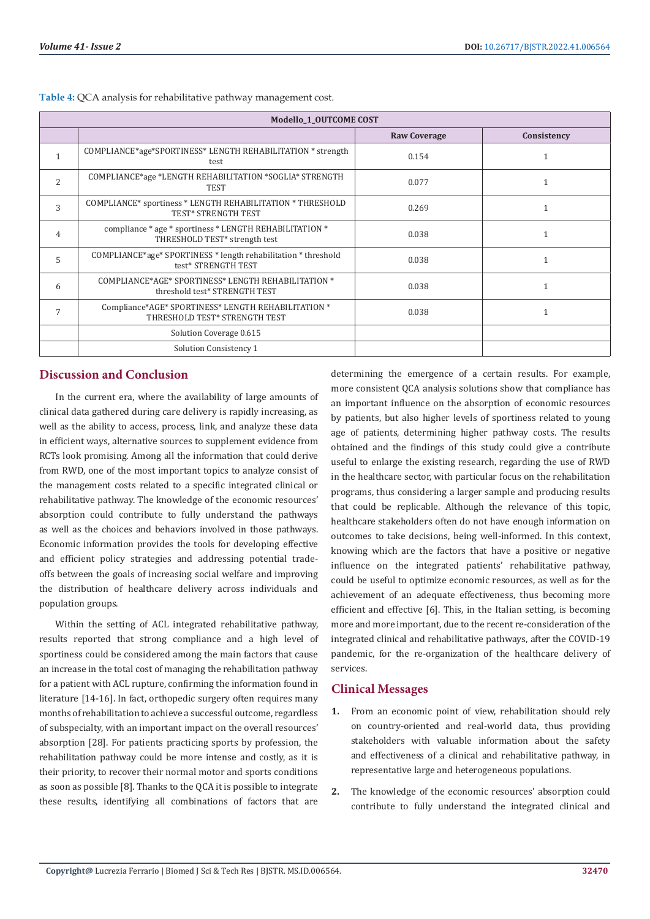| Modello 1 OUTCOME COST |                                                                                                      |                     |              |  |  |
|------------------------|------------------------------------------------------------------------------------------------------|---------------------|--------------|--|--|
|                        |                                                                                                      | <b>Raw Coverage</b> | Consistency  |  |  |
|                        | COMPLIANCE*age*SPORTINESS* LENGTH REHABILITATION * strength<br>test                                  | 0.154               | 1            |  |  |
| 2                      | COMPLIANCE*age *LENGTH REHABILITATION *SOGLIA* STRENGTH<br>TEST                                      | 0.077               | $\mathbf{1}$ |  |  |
| 3                      | COMPLIANCE* sportiness * LENGTH REHABILITATION * THRESHOLD<br><b>TEST* STRENGTH TEST</b>             | 0.269               |              |  |  |
| $\overline{4}$         | compliance * age * sportiness * LENGTH REHABILITATION *<br>THRESHOLD TEST <sup>*</sup> strength test | 0.038               |              |  |  |
| 5                      | COMPLIANCE*age* SPORTINESS * length rehabilitation * threshold<br>test* STRENGTH TEST                | 0.038               |              |  |  |
| 6                      | COMPLIANCE*AGE* SPORTINESS* LENGTH REHABILITATION *<br>threshold test* STRENGTH TEST                 | 0.038               |              |  |  |
|                        | Compliance*AGE* SPORTINESS* LENGTH REHABILITATION *<br>THRESHOLD TEST* STRENGTH TEST                 | 0.038               |              |  |  |
|                        | Solution Coverage 0.615                                                                              |                     |              |  |  |
|                        | Solution Consistency 1                                                                               |                     |              |  |  |

**Table 4:** QCA analysis for rehabilitative pathway management cost.

# **Discussion and Conclusion**

In the current era, where the availability of large amounts of clinical data gathered during care delivery is rapidly increasing, as well as the ability to access, process, link, and analyze these data in efficient ways, alternative sources to supplement evidence from RCTs look promising. Among all the information that could derive from RWD, one of the most important topics to analyze consist of the management costs related to a specific integrated clinical or rehabilitative pathway. The knowledge of the economic resources' absorption could contribute to fully understand the pathways as well as the choices and behaviors involved in those pathways. Economic information provides the tools for developing effective and efficient policy strategies and addressing potential tradeoffs between the goals of increasing social welfare and improving the distribution of healthcare delivery across individuals and population groups.

Within the setting of ACL integrated rehabilitative pathway, results reported that strong compliance and a high level of sportiness could be considered among the main factors that cause an increase in the total cost of managing the rehabilitation pathway for a patient with ACL rupture, confirming the information found in literature [14-16]. In fact, orthopedic surgery often requires many months of rehabilitation to achieve a successful outcome, regardless of subspecialty, with an important impact on the overall resources' absorption [28]. For patients practicing sports by profession, the rehabilitation pathway could be more intense and costly, as it is their priority, to recover their normal motor and sports conditions as soon as possible [8]. Thanks to the QCA it is possible to integrate these results, identifying all combinations of factors that are determining the emergence of a certain results. For example, more consistent QCA analysis solutions show that compliance has an important influence on the absorption of economic resources by patients, but also higher levels of sportiness related to young age of patients, determining higher pathway costs. The results obtained and the findings of this study could give a contribute useful to enlarge the existing research, regarding the use of RWD in the healthcare sector, with particular focus on the rehabilitation programs, thus considering a larger sample and producing results that could be replicable. Although the relevance of this topic, healthcare stakeholders often do not have enough information on outcomes to take decisions, being well-informed. In this context, knowing which are the factors that have a positive or negative influence on the integrated patients' rehabilitative pathway, could be useful to optimize economic resources, as well as for the achievement of an adequate effectiveness, thus becoming more efficient and effective [6]. This, in the Italian setting, is becoming more and more important, due to the recent re-consideration of the integrated clinical and rehabilitative pathways, after the COVID-19 pandemic, for the re-organization of the healthcare delivery of services.

# **Clinical Messages**

- **1.** From an economic point of view, rehabilitation should rely on country-oriented and real-world data, thus providing stakeholders with valuable information about the safety and effectiveness of a clinical and rehabilitative pathway, in representative large and heterogeneous populations.
- **2.** The knowledge of the economic resources' absorption could contribute to fully understand the integrated clinical and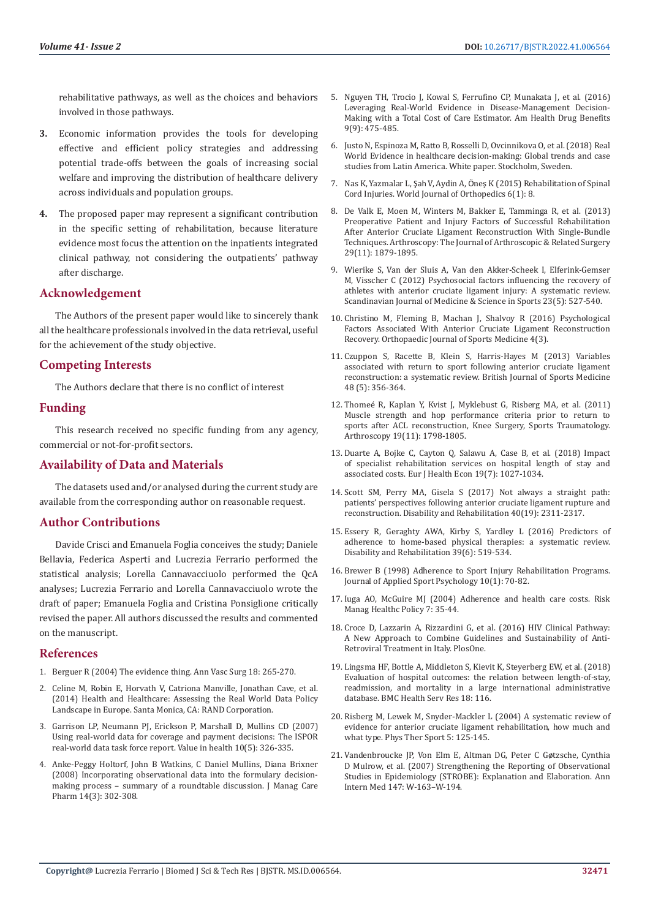rehabilitative pathways, as well as the choices and behaviors involved in those pathways.

- **3.** Economic information provides the tools for developing effective and efficient policy strategies and addressing potential trade-offs between the goals of increasing social welfare and improving the distribution of healthcare delivery across individuals and population groups.
- **4.** The proposed paper may represent a significant contribution in the specific setting of rehabilitation, because literature evidence most focus the attention on the inpatients integrated clinical pathway, not considering the outpatients' pathway after discharge.

# **Acknowledgement**

The Authors of the present paper would like to sincerely thank all the healthcare professionals involved in the data retrieval, useful for the achievement of the study objective.

# **Competing Interests**

The Authors declare that there is no conflict of interest

# **Funding**

This research received no specific funding from any agency, commercial or not-for-profit sectors.

# **Availability of Data and Materials**

The datasets used and/or analysed during the current study are available from the corresponding author on reasonable request.

# **Author Contributions**

Davide Crisci and Emanuela Foglia conceives the study; Daniele Bellavia, Federica Asperti and Lucrezia Ferrario performed the statistical analysis; Lorella Cannavacciuolo performed the QcA analyses; Lucrezia Ferrario and Lorella Cannavacciuolo wrote the draft of paper; Emanuela Foglia and Cristina Ponsiglione critically revised the paper. All authors discussed the results and commented on the manuscript.

# **References**

1. Berguer R (2004) The evidence thing. Ann Vasc Surg 18: 265-270.

- 2. [Celine M, Robin E, Horvath V, Catriona Manville, Jonathan Cave, et al.](http://www.rand.org/pubs/research_reports/RR544.html)  [\(2014\) Health and Healthcare: Assessing the Real World Data Policy](http://www.rand.org/pubs/research_reports/RR544.html)  [Landscape in Europe. Santa Monica, CA: RAND Corporation.](http://www.rand.org/pubs/research_reports/RR544.html)
- 3. [Garrison LP, Neumann PJ, Erickson P, Marshall D, Mullins CD \(2007\)](https://pubmed.ncbi.nlm.nih.gov/17888097/)  [Using real‐world data for coverage and payment decisions: The ISPOR](https://pubmed.ncbi.nlm.nih.gov/17888097/)  [real-world data task force report. Value in health 10\(5\): 326-335.](https://pubmed.ncbi.nlm.nih.gov/17888097/)
- 4. [Anke-Peggy Holtorf, John B Watkins, C Daniel Mullins, Diana Brixner](https://pubmed.ncbi.nlm.nih.gov/18439052/)  [\(2008\) Incorporating observational data into the formulary decision](https://pubmed.ncbi.nlm.nih.gov/18439052/)[making process – summary of a roundtable discussion. J Manag Care](https://pubmed.ncbi.nlm.nih.gov/18439052/)  [Pharm 14\(3\): 302-308.](https://pubmed.ncbi.nlm.nih.gov/18439052/)
- 5. [Nguyen TH, Trocio J, Kowal S, Ferrufino CP, Munakata J, et al. \(2016\)](https://pubmed.ncbi.nlm.nih.gov/28465775/) [Leveraging Real-World Evidence in Disease-Management Decision-](https://pubmed.ncbi.nlm.nih.gov/28465775/)[Making with a Total Cost of Care Estimator. Am Health Drug Benefits](https://pubmed.ncbi.nlm.nih.gov/28465775/) [9\(9\): 475-485.](https://pubmed.ncbi.nlm.nih.gov/28465775/)
- 6. Justo N, Espinoza M, Ratto B, Rosselli D, Ovcinnikova O, et al. (2018) Real World Evidence in healthcare decision-making: Global trends and case studies from Latin America. White paper. Stockholm, Sweden.
- 7. Nas K, Yazmalar L, Şah V, Aydin A, Ö[neş K \(2015\) Rehabilitation of Spinal](https://www.ncbi.nlm.nih.gov/pmc/articles/PMC4303793/) [Cord Injuries. World Journal of Orthopedics 6\(1\): 8.](https://www.ncbi.nlm.nih.gov/pmc/articles/PMC4303793/)
- 8. [De Valk E, Moen M, Winters M, Bakker E, Tamminga R, et al. \(2013\)](https://pubmed.ncbi.nlm.nih.gov/24209682/) [Preoperative Patient and Injury Factors of Successful Rehabilitation](https://pubmed.ncbi.nlm.nih.gov/24209682/) [After Anterior Cruciate Ligament Reconstruction With Single-Bundle](https://pubmed.ncbi.nlm.nih.gov/24209682/) [Techniques. Arthroscopy: The Journal of Arthroscopic & Related Surgery](https://pubmed.ncbi.nlm.nih.gov/24209682/) [29\(11\): 1879-1895.](https://pubmed.ncbi.nlm.nih.gov/24209682/)
- 9. [Wierike S, Van der Sluis A, Van den Akker-Scheek I, Elferink-Gemser](https://pubmed.ncbi.nlm.nih.gov/23121478/) [M, Visscher C \(2012\) Psychosocial factors influencing the recovery of](https://pubmed.ncbi.nlm.nih.gov/23121478/) [athletes with anterior cruciate ligament injury: A systematic review.](https://pubmed.ncbi.nlm.nih.gov/23121478/) [Scandinavian Journal of Medicine & Science in Sports 23\(5\): 527-540.](https://pubmed.ncbi.nlm.nih.gov/23121478/)
- 10. [Christino M, Fleming B, Machan J, Shalvoy R \(2016\) Psychological](https://pubmed.ncbi.nlm.nih.gov/27069948/) [Factors Associated With Anterior Cruciate Ligament Reconstruction](https://pubmed.ncbi.nlm.nih.gov/27069948/) [Recovery. Orthopaedic Journal of Sports Medicine 4\(3\).](https://pubmed.ncbi.nlm.nih.gov/27069948/)
- 11. [Czuppon S, Racette B, Klein S, Harris-Hayes M \(2013\) Variables](https://pubmed.ncbi.nlm.nih.gov/24124040/) [associated with return to sport following anterior cruciate ligament](https://pubmed.ncbi.nlm.nih.gov/24124040/) [reconstruction: a systematic review. British Journal of Sports Medicine](https://pubmed.ncbi.nlm.nih.gov/24124040/) [48 \(5\): 356-364.](https://pubmed.ncbi.nlm.nih.gov/24124040/)
- 12. Thomeé [R, Kaplan Y, Kvist J, Myklebust G, Risberg MA, et al. \(2011\)](https://pubmed.ncbi.nlm.nih.gov/21932078/) [Muscle strength and hop performance criteria prior to return to](https://pubmed.ncbi.nlm.nih.gov/21932078/) [sports after ACL reconstruction, Knee Surgery, Sports Traumatology.](https://pubmed.ncbi.nlm.nih.gov/21932078/) [Arthroscopy 19\(11\): 1798-1805.](https://pubmed.ncbi.nlm.nih.gov/21932078/)
- 13. [Duarte A, Bojke C, Cayton Q, Salawu A, Case B, et al. \(2018\) Impact](https://pubmed.ncbi.nlm.nih.gov/29282588/) [of specialist rehabilitation services on hospital length of stay and](https://pubmed.ncbi.nlm.nih.gov/29282588/) [associated costs. Eur J Health Econ 19\(7\): 1027-1034.](https://pubmed.ncbi.nlm.nih.gov/29282588/)
- 14. [Scott SM, Perry MA, Gisela S \(2017\) Not always a straight path:](https://pubmed.ncbi.nlm.nih.gov/28597696/) [patients' perspectives following anterior cruciate ligament rupture and](https://pubmed.ncbi.nlm.nih.gov/28597696/) [reconstruction. Disability and Rehabilitation 40\(19\): 2311-2317.](https://pubmed.ncbi.nlm.nih.gov/28597696/)
- 15. [Essery R, Geraghty AWA, Kirby S, Yardley L \(2016\) Predictors of](https://pubmed.ncbi.nlm.nih.gov/27097761/) [adherence to home-based physical therapies: a systematic review.](https://pubmed.ncbi.nlm.nih.gov/27097761/) [Disability and Rehabilitation 39\(6\): 519-534.](https://pubmed.ncbi.nlm.nih.gov/27097761/)
- 16. [Brewer B \(1998\) Adherence to Sport Injury Rehabilitation Programs.](https://www.researchgate.net/publication/261685703_Adherence_to_sport_injury_rehabilitation_programs) [Journal of Applied Sport Psychology 10\(1\): 70-82.](https://www.researchgate.net/publication/261685703_Adherence_to_sport_injury_rehabilitation_programs)
- 17. [Iuga AO, McGuire MJ \(2004\) Adherence and health care costs. Risk](https://pubmed.ncbi.nlm.nih.gov/24591853/) [Manag Healthc Policy 7: 35-44.](https://pubmed.ncbi.nlm.nih.gov/24591853/)
- 18. Croce D, Lazzarin A, Rizzardini G, et al. (2016) HIV Clinical Pathway: A New Approach to Combine Guidelines and Sustainability of Anti-Retroviral Treatment in Italy. PlosOne.
- 19. [Lingsma HF, Bottle A, Middleton S, Kievit K, Steyerberg EW, et al. \(2018\)](https://pubmed.ncbi.nlm.nih.gov/29444713/) [Evaluation of hospital outcomes: the relation between length-of-stay,](https://pubmed.ncbi.nlm.nih.gov/29444713/) [readmission, and mortality in a large international administrative](https://pubmed.ncbi.nlm.nih.gov/29444713/) [database. BMC Health Serv Res 18: 116.](https://pubmed.ncbi.nlm.nih.gov/29444713/)
- 20. Risberg M, Lewek M, Snyder-Mackler L (2004) A systematic review of evidence for anterior cruciate ligament rehabilitation, how much and what type. Phys Ther Sport 5: 125-145.
- 21. [Vandenbroucke JP, Von Elm E, Altman DG, Peter C G](https://pubmed.ncbi.nlm.nih.gov/17938389/)øtzsche, Cynthia [D Mulrow, et al. \(2007\) Strengthening the Reporting of Observational](https://pubmed.ncbi.nlm.nih.gov/17938389/) [Studies in Epidemiology \(STROBE\): Explanation and Elaboration. Ann](https://pubmed.ncbi.nlm.nih.gov/17938389/) [Intern Med 147: W-163–W-194.](https://pubmed.ncbi.nlm.nih.gov/17938389/)